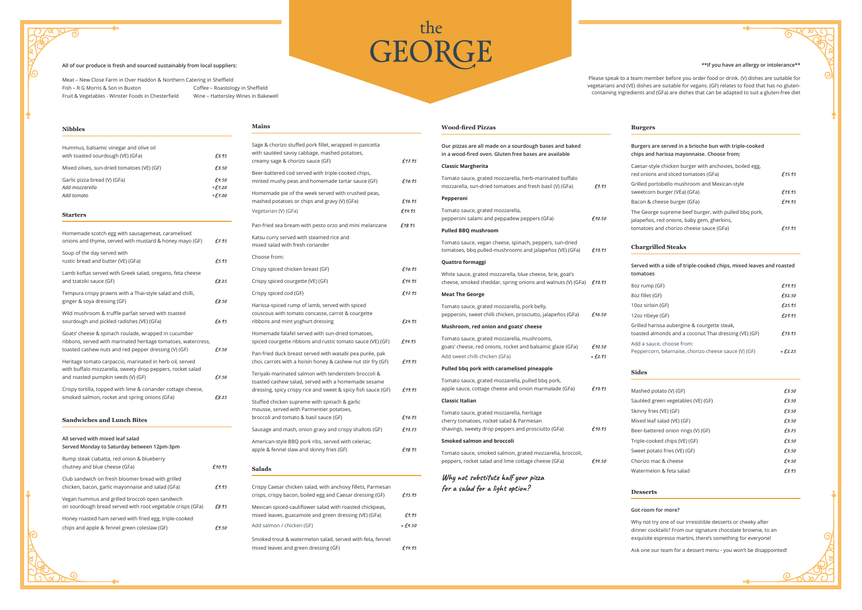| <b>Nibbles</b>                                                              |       |
|-----------------------------------------------------------------------------|-------|
| Hummus, balsamic vinegar and olive oil<br>with toasted sourdough (VE) (GFa) | £3.95 |

| Mixed olives, sun-dried tomatoes (VE) (GF) | £3.50    |
|--------------------------------------------|----------|
| Garlic pizza bread (V) (GFa)               | £4.50    |
| Add mozzarella                             | $+£1.20$ |
| Add tomato                                 | $+£1.00$ |

### **Starters**

| Homemade scotch egg with sausagemeat, caramelised<br>onions and thyme, served with mustard & honey mayo (GF)                                                                  | £7.95  |
|-------------------------------------------------------------------------------------------------------------------------------------------------------------------------------|--------|
| Soup of the day served with<br>rustic bread and butter (VE) (GFa)                                                                                                             | £5.95  |
| Lamb koftas served with Greek salad, oregano, feta cheese<br>and tzatziki sauce (GF)                                                                                          | £8.25  |
| Tempura crispy prawns with a Thai-style salad and chilli,<br>ginger & soya dressing (GF)                                                                                      | £8.50  |
| Wild mushroom & truffle parfait served with toasted<br>sourdough and pickled radishes (VE) (GFa)                                                                              | £6.95  |
| Goats' cheese & spinach roulade, wrapped in cucumber<br>ribbons, served with marinated heritage tomatoes, watercress,<br>toasted cashew nuts and red pepper dressing (V) (GF) | £7.50  |
| Heritage tomato carpaccio, marinated in herb oil, served<br>with buffalo mozzarella, sweety drop peppers, rocket salad<br>and roasted pumpkin seeds (V) (GF)                  | £7.50  |
| Crispy tortilla, topped with lime & coriander cottage cheese,<br>smoked salmon, rocket and spring onions (GFa)                                                                | £8.25  |
|                                                                                                                                                                               |        |
| <b>Sandwiches and Lunch Bites</b>                                                                                                                                             |        |
| All served with mixed leaf salad<br>Served Monday to Saturday between 12pm-3pm                                                                                                |        |
| Rump steak ciabatta, red onion & blueberry<br>chutney and blue cheese (GFa)                                                                                                   | £10.95 |
| Club sandwich on fresh bloomer bread with grilled<br>chicken, bacon, garlic mayonnaise and salad (GFa)                                                                        | £9.95  |
| Vegan hummus and grilled broccoli open sandwich<br>on sourdough bread served with root vegetable crisps (GFa)                                                                 | £8.95  |
| Honey roasted ham served with fried egg, triple-cooked<br>chips and apple & fennel green coleslaw (GF)                                                                        | £9.50  |

Smoked trout & watermelon salad, served with feta, fennel mixed leaves and green dressing (GF)  $f14.95$ 

| <b>Mains</b>                                                                                                                                                                 |                     |
|------------------------------------------------------------------------------------------------------------------------------------------------------------------------------|---------------------|
| Sage & chorizo stuffed pork fillet, wrapped in pancetta<br>with sautéed savoy cabbage, mashed potatoes,<br>creamy sage & chorizo sauce (GF)                                  | f17.95              |
| Beer-battered cod served with triple-cooked chips,<br>minted mushy peas and homemade tartar sauce (GF)                                                                       | £16.95              |
| Homemade pie of the week served with crushed peas,<br>mashed potatoes or chips and gravy (V) (GFa)<br>Vegetarian (V) (GFa)                                                   | £16.95<br>£14.95    |
| Pan-fried sea bream with pesto orzo and mini melanzane                                                                                                                       | £18.95              |
| Katsu curry served with steamed rice and<br>mixed salad with fresh coriander                                                                                                 |                     |
| Choose from:                                                                                                                                                                 |                     |
| Crispy spiced chicken breast (GF)                                                                                                                                            | £16.95              |
| Crispy spiced courgette (VE) (GF)                                                                                                                                            | £14.95              |
| Crispy spiced cod (GF)                                                                                                                                                       | £17.95              |
| Harissa-spiced rump of lamb, served with spiced<br>couscous with tomato concasse, carrot & courgette<br>ribbons and mint yoghurt dressing                                    | £24.95              |
| Homemade falafel served with sun-dried tomatoes,<br>spiced courgette ribbons and rustic tomato sauce (VE) (GF)                                                               | £14.95              |
| Pan-fried duck breast served with wasabi pea purée, pak<br>choi, carrots with a hoisin honey & cashew nut stir fry (GF)                                                      | £19.95              |
| Teriyaki-marinated salmon with tenderstem broccoli &<br>toasted cashew salad, served with a homemade sesame<br>dressing, spicy crispy rice and sweet & spicy fish sauce (GF) | £19.95              |
| Stuffed chicken supreme with spinach & garlic                                                                                                                                |                     |
| mousse, served with Parmentier potatoes,<br>broccoli and tomato & basil sauce (GF)                                                                                           | £16.95              |
| Sausage and mash, onion gravy and crispy shallots (GF)                                                                                                                       | £13.75              |
| American-style BBQ pork ribs, served with celeriac,<br>apple & fennel slaw and skinny fries (GF)                                                                             | £18.95              |
| <b>Salads</b>                                                                                                                                                                |                     |
| Crispy Caesar chicken salad, with anchovy fillets, Parmesan<br>crisps, crispy bacon, boiled egg and Caesar dressing (GF)                                                     | £15.95              |
| Mexican spiced-cauliflower salad with roasted chickpeas,                                                                                                                     |                     |
| mixed leaves, guacamole and green dressing (VE) (GFa)<br>Add salmon / chicken (GF)                                                                                           | £9.95<br>$+ f.4.50$ |
|                                                                                                                                                                              |                     |

| Our pizzas are all made on a sourdough bases and baked<br>in a wood-fired oven. Gluten free bases are available                                          |        |
|----------------------------------------------------------------------------------------------------------------------------------------------------------|--------|
| <b>Classic Margherita</b>                                                                                                                                |        |
| Tomato sauce, grated mozzarella, herb-marinated buffalo<br>mozzarella, sun-dried tomatoes and fresh basil (V) (GFa)                                      | £9.95  |
| Pepperoni                                                                                                                                                |        |
| Tomato sauce, grated mozzarella,<br>pepperoni salami and peppadew peppers (GFa)                                                                          | £10.50 |
| <b>Pulled BBQ mushroom</b>                                                                                                                               |        |
| Tomato sauce, vegan cheese, spinach, peppers, sun-dried<br>tomatoes, bbq pulled-mushrooms and jalapeños (VE) (GFa)                                       | £13.95 |
| Quattro formaggi                                                                                                                                         |        |
| White sauce, grated mozzarella, blue cheese, brie, goat's<br>cheese, smoked cheddar, spring onions and walnuts (V) (GFa) $£13.95$                        |        |
| <b>Meat The George</b>                                                                                                                                   |        |
| Tomato sauce, grated mozzarella, pork belly,<br>pepperoni, sweet chilli chicken, prosciutto, jalapeños (GFa)                                             | £16.50 |
| Mushroom, red onion and goats' cheese                                                                                                                    |        |
| Tomato sauce, grated mozzarella, mushrooms,<br>goats' cheese, red onions, rocket and balsamic glaze (GFa)                                                | £10.50 |
| Add sweet chilli chicken (GFa)                                                                                                                           | +£2.95 |
| Pulled bbq pork with caramelised pineapple<br>Tomato sauce, grated mozzarella, pulled bbq pork,<br>apple sauce, cottage cheese and onion marmalade (GFa) | £13.95 |
| <b>Classic Italian</b>                                                                                                                                   |        |
| Tomato sauce, grated mozzarella, heritage<br>cherry tomatoes, rocket salad & Parmesan<br>shavings, sweety drop peppers and prosciutto (GFa)              | £10.95 |
| Smoked salmon and broccoli                                                                                                                               |        |
| Tomato sauce, smoked salmon, grated mozzarella, broccoli,<br>peppers, rocket salad and lime cottage cheese (GFa)                                         | £14.50 |

### **Burgers**

| Burgers are served in a brioche bun with triple-cooked<br>chips and harissa mayonnaise. Choose from:                                           |        |
|------------------------------------------------------------------------------------------------------------------------------------------------|--------|
| Caesar-style chicken burger with anchovies, boiled egg,<br>red onions and sliced tomatoes (GFa)                                                | f15.95 |
| Grilled portobello mushroom and Mexican-style<br>sweetcorn burger (VEa) (GFa)                                                                  | f13.95 |
| Bacon & cheese burger (GFa)                                                                                                                    | f14.95 |
| The George supreme beef burger, with pulled bbq pork,<br>jalapeños, red onions, baby gem, gherkins,<br>tomatoes and chorizo cheese sauce (GFa) | 41795  |
|                                                                                                                                                |        |

# **Chargrilled Steaks**

| Served with a side of triple-cooked chips, mixed leaves and roasted<br>tomatoes                       |          |
|-------------------------------------------------------------------------------------------------------|----------|
| 8oz rump (GF)                                                                                         | £19.95   |
| 8oz fillet (GF)                                                                                       | £32.50   |
| 10oz sirloin (GF)                                                                                     | £25.95   |
| 12oz ribeye (GF)                                                                                      | £29.95   |
| Grilled harissa aubergine & courgette steak,<br>toasted almonds and a coconut Thai dressing (VE) (GF) | £13.95   |
| Add a sauce, choose from:<br>Peppercorn, béarnaise, chorizo cheese sauce (V) (GF)                     | $+£2.25$ |

**Sides**

| Mashed potato (V) (GF)             | f3.50 |
|------------------------------------|-------|
| Sautéed green vegetables (VE) (GF) | £3.50 |
| Skinny fries (VE) (GF)             | £3.50 |
| Mixed leaf salad (VE) (GF)         | £3.50 |
| Beer-battered onion rings (V) (GF) | £3.75 |
| Triple-cooked chips (VE) (GF)      | £3.50 |
| Sweet potato fries (VE) (GF)       | f3.50 |
| Chorizo mac & cheese               | £4.50 |
| Watermelon & feta salad            | £3.95 |

# **Desserts**

# **Got room for more?**

Why not try one of our irresistible desserts or cheeky after dinner cocktails? From our signature chocolate brownie, to an exquisite espresso martini, there's something for everyone!

Ask one our team for a dessert menu - you won't be disappointed!

# the<br>GEORGE

### **All of our produce is fresh and sourced sustainably from local suppliers:**

Meat – Meat – New Close Farm in Over Haddon & Northern Catering in SheffieldFish – R G Morris & Son in Buxton Fruit & Vegetables - Winster Foods in Chesterfield

Coffee – Roastology in Sheffield Wine – Hattersley Wines in Bakewell

### **\*\*If you have an allergy or intolerance\*\***

Please speak to a team member before you order food or drink. (V) dishes are suitable for vegetarians and (VE) dishes are suitable for vegans. (GF) relates to food that has no glutencontaining ingredients and (GFa) are dishes that can be adapted to suit a gluten-free diet